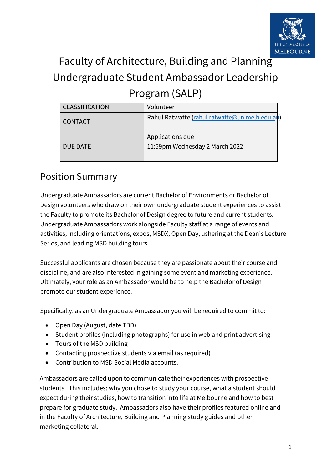

# Faculty of Architecture, Building and Planning Undergraduate Student Ambassador Leadership Program (SALP)

| <b>CLASSIFICATION</b> | Volunteer                                          |
|-----------------------|----------------------------------------------------|
| <b>CONTACT</b>        | Rahul Ratwatte (rahul.ratwatte@unimelb.edu.au)     |
| DUE DATE              | Applications due<br>11:59pm Wednesday 2 March 2022 |

#### Position Summary

Undergraduate Ambassadors are current Bachelor of Environments or Bachelor of Design volunteers who draw on their own undergraduate student experiences to assist the Faculty to promote its Bachelor of Design degree to future and current students. Undergraduate Ambassadors work alongside Faculty staff at a range of events and activities, including orientations, expos, MSDX, Open Day, ushering at the Dean's Lecture Series, and leading MSD building tours.

Successful applicants are chosen because they are passionate about their course and discipline, and are also interested in gaining some event and marketing experience. Ultimately, your role as an Ambassador would be to help the Bachelor of Design promote our student experience.

Specifically, as an Undergraduate Ambassador you will be required to commit to:

- Open Day (August, date TBD)
- Student profiles (including photographs) for use in web and print advertising
- Tours of the MSD building
- Contacting prospective students via email (as required)
- Contribution to MSD Social Media accounts.

Ambassadors are called upon to communicate their experiences with prospective students. This includes: why you chose to study your course, what a student should expect during their studies, how to transition into life at Melbourne and how to best prepare for graduate study. Ambassadors also have their profiles featured online and in the Faculty of Architecture, Building and Planning study guides and other marketing collateral.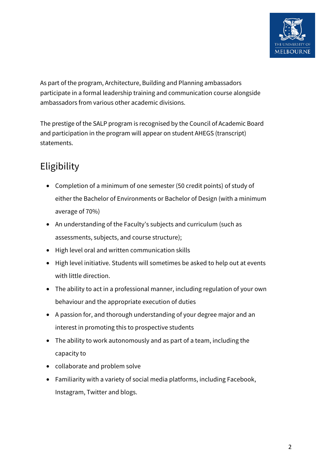

As part of the program, Architecture, Building and Planning ambassadors participate in a formal leadership training and communication course alongside ambassadors from various other academic divisions.

The prestige of the SALP program is recognised by the Council of Academic Board and participation in the program will appear on student AHEGS (transcript) statements.

#### Eligibility

- Completion of a minimum of one semester (50 credit points) of study of either the Bachelor of Environments or Bachelor of Design (with a minimum average of 70%)
- An understanding of the Faculty's subjects and curriculum (such as assessments, subjects, and course structure);
- High level oral and written communication skills
- High level initiative. Students will sometimes be asked to help out at events with little direction.
- The ability to act in a professional manner, including regulation of your own behaviour and the appropriate execution of duties
- A passion for, and thorough understanding of your degree major and an interest in promoting this to prospective students
- The ability to work autonomously and as part of a team, including the capacity to
- collaborate and problem solve
- Familiarity with a variety of social media platforms, including Facebook, Instagram, Twitter and blogs.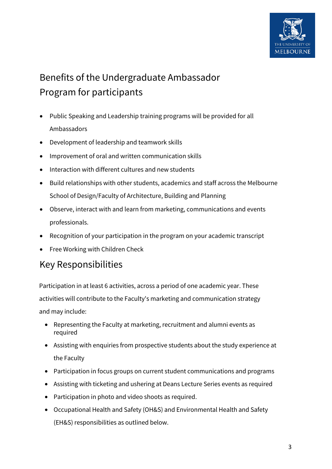

## Benefits of the Undergraduate Ambassador Program for participants

- Public Speaking and Leadership training programs will be provided for all Ambassadors
- Development of leadership and teamwork skills
- Improvement of oral and written communication skills
- Interaction with different cultures and new students
- Build relationships with other students, academics and staff across the Melbourne School of Design/Faculty of Architecture, Building and Planning
- Observe, interact with and learn from marketing, communications and events professionals.
- Recognition of your participation in the program on your academic transcript
- Free Working with Children Check

#### Key Responsibilities

Participation in at least 6 activities, across a period of one academic year. These activities will contribute to the Faculty's marketing and communication strategy and may include:

- Representing the Faculty at marketing, recruitment and alumni events as required
- Assisting with enquiries from prospective students about the study experience at the Faculty
- Participation in focus groups on current student communications and programs
- Assisting with ticketing and ushering at Deans Lecture Series events as required
- Participation in photo and video shoots as required.
- Occupational Health and Safety (OH&S) and Environmental Health and Safety (EH&S) responsibilities as outlined below.